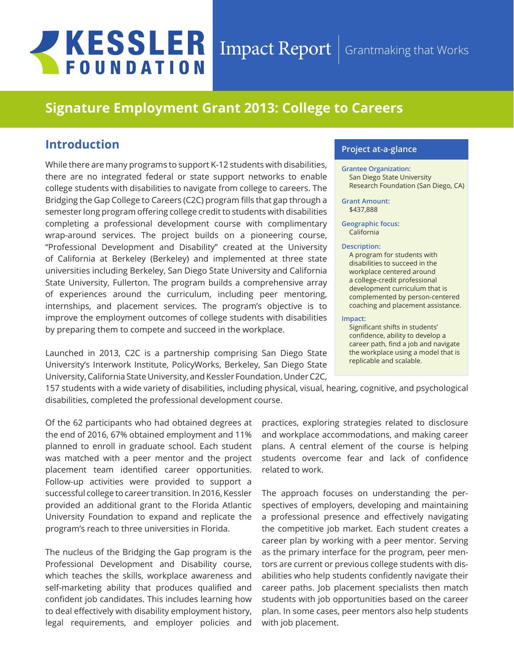# **JKESSLER FOUNDATION**

## Impact Report Grantmaking that Works

# **Signature Employment Grant 2013: College to Careers**

## **Introduction**

While there are many programs to support K-12 students with disabilities, there are no integrated federal or state support networks to enable college students with disabilities to navigate from college to careers. The Bridging the Gap College to Careers (C2C) program fills that gap through a semester long program offering college credit to students with disabilities completing a professional development course with complimentary wrap-around services. The project builds on a pioneering course, "Professional Development and Disability" created at the University of California at Berkeley (Berkeley) and implemented at three state universities including Berkeley, San Diego State University and California State University, Fullerton. The program builds a comprehensive array of experiences around the curriculum, including peer mentoring, internships, and placement services. The program's objective is to improve the employment outcomes of college students with disabilities by preparing them to compete and succeed in the workplace.

Launched in 2013, C2C is a partnership comprising San Diego State University's Interwork Institute, PolicyWorks, Berkeley, San Diego State University, California State University, and Kessler Foundation. Under C2C,

## **Project at-a-glance**

#### **Grantee Organization:**

San Diego State University Research Foundation (San Diego, CA)

#### **Grant Amount:**  \$437,888

**Geographic focus:**  California

#### **Description:**

A program for students with disabilities to succeed in the workplace centered around a college-credit professional development curriculum that is complemented by person-centered coaching and placement assistance.

#### **Impact:**

Significant shifts in students' confidence, ability to develop a career path, find a job and navigate the workplace using a model that is replicable and scalable.

157 students with a wide variety of disabilities, including physical, visual, hearing, cognitive, and psychological disabilities, completed the professional development course.

Of the 62 participants who had obtained degrees at the end of 2016, 67% obtained employment and 11% planned to enroll in graduate school. Each student was matched with a peer mentor and the project placement team identified career opportunities. Follow-up activities were provided to support a successful college to career transition. In 2016, Kessler provided an additional grant to the Florida Atlantic University Foundation to expand and replicate the program's reach to three universities in Florida.

The nucleus of the Bridging the Gap program is the Professional Development and Disability course, which teaches the skills, workplace awareness and self-marketing ability that produces qualified and confident job candidates. This includes learning how to deal effectively with disability employment history, legal requirements, and employer policies and

practices, exploring strategies related to disclosure and workplace accommodations, and making career plans. A central element of the course is helping students overcome fear and lack of confidence related to work.

The approach focuses on understanding the perspectives of employers, developing and maintaining a professional presence and effectively navigating the competitive job market. Each student creates a career plan by working with a peer mentor. Serving as the primary interface for the program, peer mentors are current or previous college students with disabilities who help students confidently navigate their career paths. Job placement specialists then match students with job opportunities based on the career plan. In some cases, peer mentors also help students with job placement.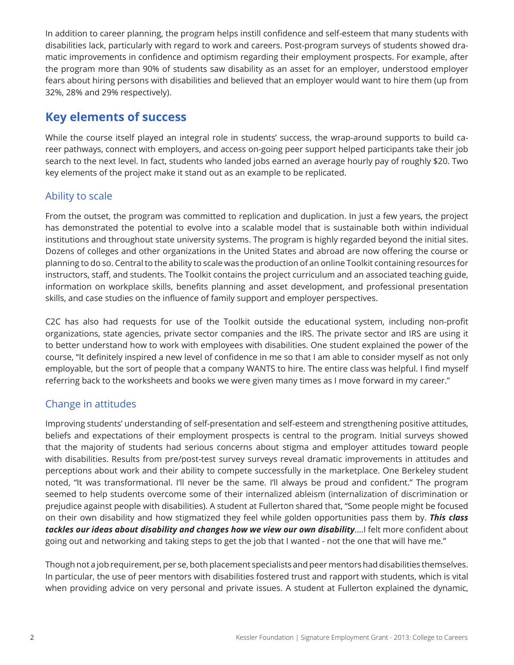In addition to career planning, the program helps instill confidence and self-esteem that many students with disabilities lack, particularly with regard to work and careers. Post-program surveys of students showed dramatic improvements in confidence and optimism regarding their employment prospects. For example, after the program more than 90% of students saw disability as an asset for an employer, understood employer fears about hiring persons with disabilities and believed that an employer would want to hire them (up from 32%, 28% and 29% respectively).

## **Key elements of success**

While the course itself played an integral role in students' success, the wrap-around supports to build career pathways, connect with employers, and access on-going peer support helped participants take their job search to the next level. In fact, students who landed jobs earned an average hourly pay of roughly \$20. Two key elements of the project make it stand out as an example to be replicated.

## Ability to scale

From the outset, the program was committed to replication and duplication. In just a few years, the project has demonstrated the potential to evolve into a scalable model that is sustainable both within individual institutions and throughout state university systems. The program is highly regarded beyond the initial sites. Dozens of colleges and other organizations in the United States and abroad are now offering the course or planning to do so. Central to the ability to scale was the production of an online Toolkit containing resources for instructors, staff, and students. The Toolkit contains the project curriculum and an associated teaching guide, information on workplace skills, benefits planning and asset development, and professional presentation skills, and case studies on the influence of family support and employer perspectives.

C2C has also had requests for use of the Toolkit outside the educational system, including non-profit organizations, state agencies, private sector companies and the IRS. The private sector and IRS are using it to better understand how to work with employees with disabilities. One student explained the power of the course, "It definitely inspired a new level of confidence in me so that I am able to consider myself as not only employable, but the sort of people that a company WANTS to hire. The entire class was helpful. I find myself referring back to the worksheets and books we were given many times as I move forward in my career."

## Change in attitudes

Improving students' understanding of self-presentation and self-esteem and strengthening positive attitudes, beliefs and expectations of their employment prospects is central to the program. Initial surveys showed that the majority of students had serious concerns about stigma and employer attitudes toward people with disabilities. Results from pre/post-test survey surveys reveal dramatic improvements in attitudes and perceptions about work and their ability to compete successfully in the marketplace. One Berkeley student noted, "It was transformational. I'll never be the same. I'll always be proud and confident." The program seemed to help students overcome some of their internalized ableism (internalization of discrimination or prejudice against people with disabilities). A student at Fullerton shared that, "Some people might be focused on their own disability and how stigmatized they feel while golden opportunities pass them by. *This class tackles our ideas about disability and changes how we view our own disability*….I felt more confident about going out and networking and taking steps to get the job that I wanted - not the one that will have me."

Though not a job requirement, per se, both placement specialists and peer mentors had disabilities themselves. In particular, the use of peer mentors with disabilities fostered trust and rapport with students, which is vital when providing advice on very personal and private issues. A student at Fullerton explained the dynamic,